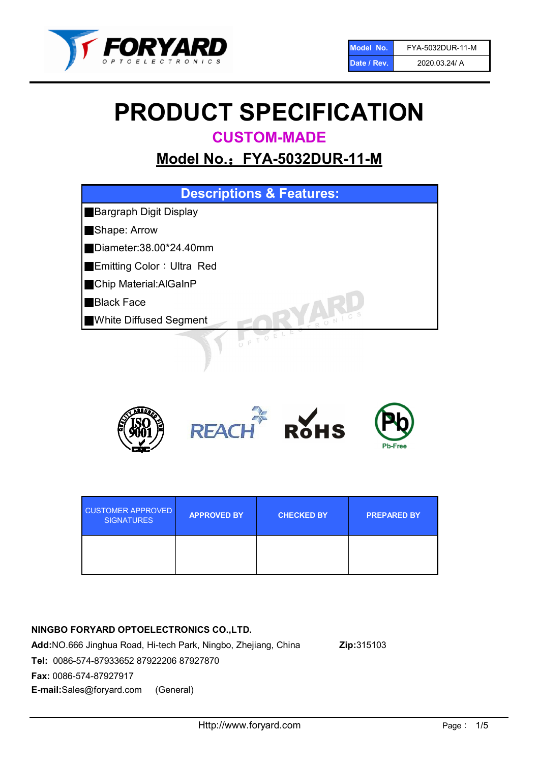

# PRODUCT SPECIFICATION

CUSTOM-MADE

## Model No.: FYA-5032DUR-11-M





| <b>CUSTOMER APPROVED</b><br><b>SIGNATURES</b> | <b>APPROVED BY</b> | <b>CHECKED BY</b> | <b>PREPARED BY</b> |
|-----------------------------------------------|--------------------|-------------------|--------------------|
|                                               |                    |                   |                    |

### NINGBO FORYARD OPTOELECTRONICS CO.,LTD. Add:NO.666 Jinghua Road, Hi-tech Park, Ningbo, Zhejiang, China Zip:315103 Tel: 0086-574-87933652 87922206 87927870 Fax: 0086-574-87927917

E-mail:Sales@foryard.com (General)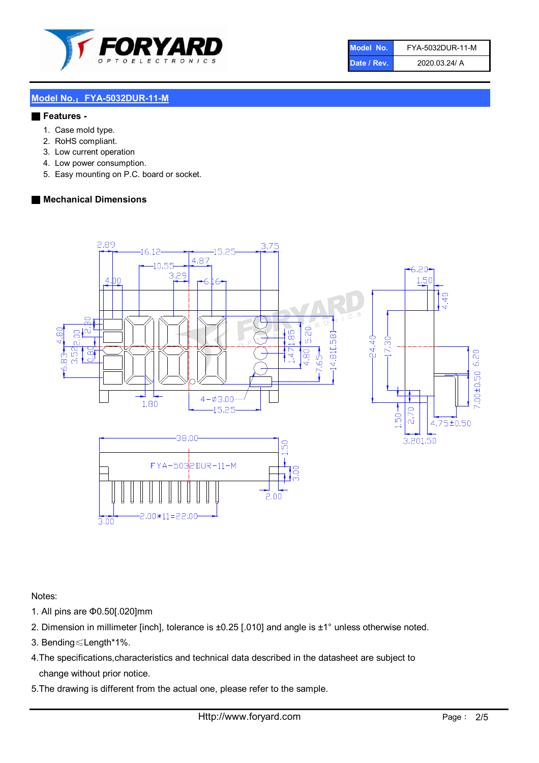

| Model No.   | FYA-5032DUR-11-M |
|-------------|------------------|
| Date / Rev. | 2020.03.24/ A    |

#### Model No.: FYA-5032DUR-11-M

#### ■ Features -

- 1. Case mold type.
- 2. RoHS compliant.
- 3. Low current operation
- 4. Low power consumption.
- 5. Easy mounting on P.C. board or socket.

#### ■ Mechanical Dimensions



Notes:

- 1. All pins are Φ0.50[.020]mm
- 2. Dimension in millimeter [inch], tolerance is ±0.25 [.010] and angle is ±1° unless otherwise noted.
- 3. Bending≤Length\*1%.
- 4.The specifications,characteristics and technical data described in the datasheet are subject to change without prior notice.
- 5.The drawing is different from the actual one, please refer to the sample.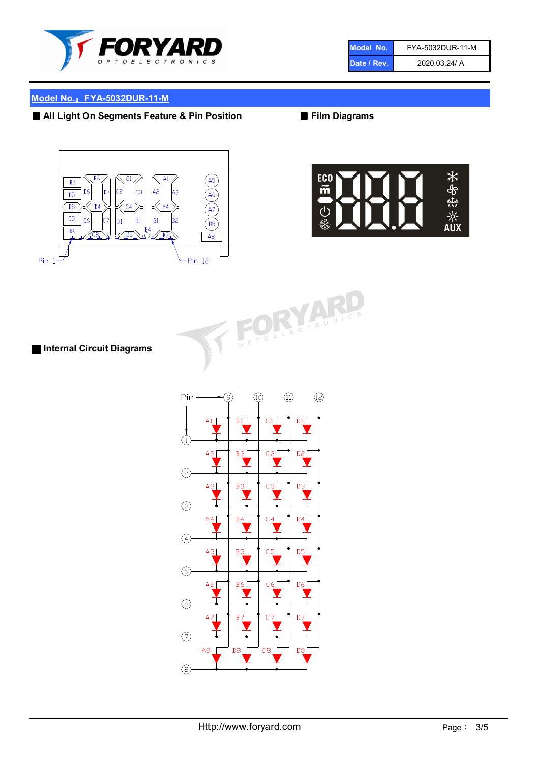

| Model No.   | FYA-5032DUR-11-M |
|-------------|------------------|
| Date / Rev. | 2020.03.24/ A    |

#### Model No.: FYA-5032DUR-11-M

#### ■ All Light On Segments Feature & Pin Position ■ Film Diagrams





# FORM

■ Internal Circuit Diagrams

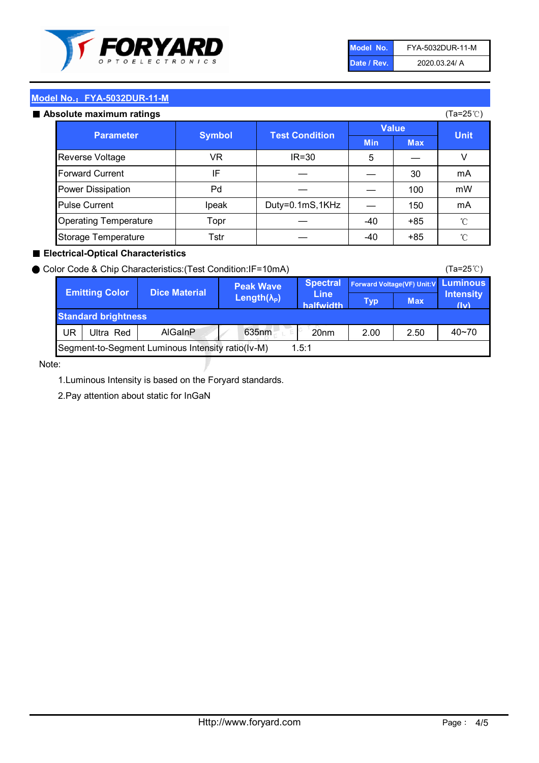

| Model No.   | FYA-5032DUR-11-M |
|-------------|------------------|
| Date / Rev. | 2020.03.24/ A    |

#### Model No.: FYA-5032DUR-11-M ■ Absolute maximum ratings Min Max  $5 \quad \vert \quad \quad$ — 30  $-$  100  $-$  150  $-40$  +85  $-40 +85$ ℃ ℃ mA Storage Temperature Topr — Pulse Current  $\vert$  Ipeak | Duty=0.1mS,1KHz Tstr — Operating Temperature (Ta=25℃) Pd | — Value Reverse Voltage VR IR=30 V Parameter | Symbol Test Condition | Test Test Nulle | Value | Unit Forward Current  $IF$  IF  $30$  mA Power Dissipation | Pd | — | — | 100 | mW **Symbol**

#### ■ Electrical-Optical Characteristics

|    | <b>Emitting Color</b>      | <b>Dice Material</b> | <b>Peak Wave</b>           | <b>Spectral</b>          |            |            | Forward Voltage(VF) Unit: V Luminous |
|----|----------------------------|----------------------|----------------------------|--------------------------|------------|------------|--------------------------------------|
|    |                            |                      | Length $(\lambda_{\rm P})$ | <b>Line</b><br>halfwidth | <b>Typ</b> | <b>Max</b> | <b>Intensity</b><br>(iv)             |
|    | <b>Standard brightness</b> |                      |                            |                          |            |            |                                      |
| UR | Ultra Red                  | <b>AlGainP</b>       | 635nm<br>E.                | 20 <sub>nm</sub>         | 2.00       | 2.50       | $40 - 70$                            |

Note:

1.Luminous Intensity is based on the Foryard standards.

2.Pay attention about static for InGaN